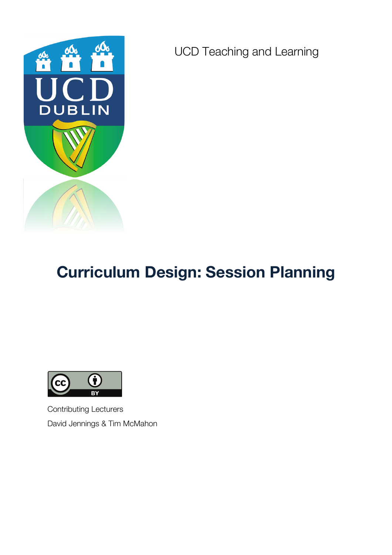

UCD Teaching and Learning

# **Curriculum Design: Session Planning**



Contributing Lecturers David Jennings & Tim McMahon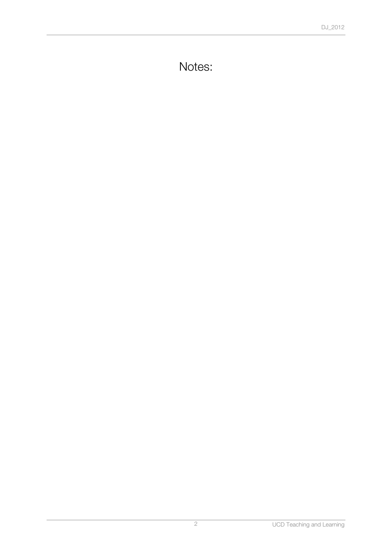Notes: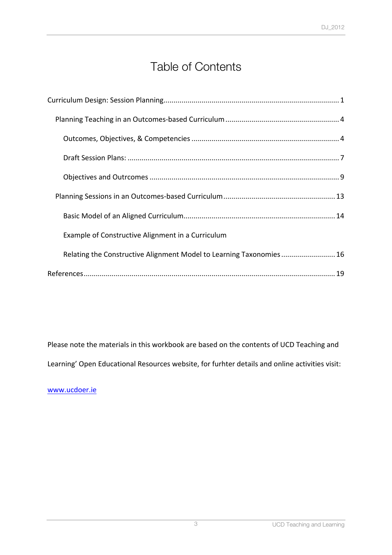## Table of Contents

| Example of Constructive Alignment in a Curriculum                   |
|---------------------------------------------------------------------|
| Relating the Constructive Alignment Model to Learning Taxonomies 16 |
|                                                                     |

Please note the materials in this workbook are based on the contents of UCD Teaching and Learning' Open Educational Resources website, for furhter details and online activities visit:

www.ucdoer.ie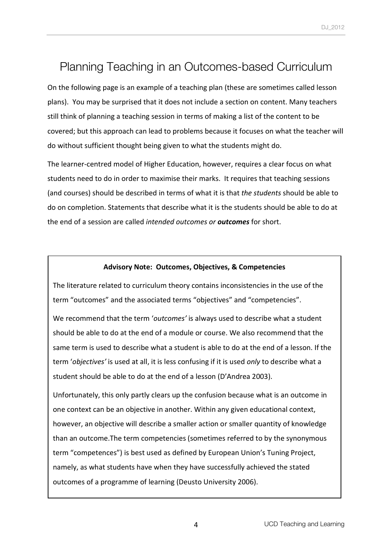## Planning Teaching in an Outcomes-based Curriculum

On the following page is an example of a teaching plan (these are sometimes called lesson plans). You may be surprised that it does not include a section on content. Many teachers still think of planning a teaching session in terms of making a list of the content to be covered; but this approach can lead to problems because it focuses on what the teacher will do without sufficient thought being given to what the students might do.

The learner-centred model of Higher Education, however, requires a clear focus on what students need to do in order to maximise their marks. It requires that teaching sessions (and courses) should be described in terms of what it is that *the students* should be able to do on completion. Statements that describe what it is the students should be able to do at the end of a session are called *intended outcomes or outcomes* for short.

#### **Advisory Note: Outcomes, Objectives, & Competencies**

The literature related to curriculum theory contains inconsistencies in the use of the term "outcomes" and the associated terms "objectives" and "competencies".

We recommend that the term 'outcomes' is always used to describe what a student should be able to do at the end of a module or course. We also recommend that the same term is used to describe what a student is able to do at the end of a lesson. If the term '*objectives'* is used at all, it is less confusing if it is used *only* to describe what a student should be able to do at the end of a lesson (D'Andrea 2003).

Unfortunately, this only partly clears up the confusion because what is an outcome in one context can be an objective in another. Within any given educational context, however, an objective will describe a smaller action or smaller quantity of knowledge than an outcome. The term competencies (sometimes referred to by the synonymous term "competences") is best used as defined by European Union's Tuning Project, namely, as what students have when they have successfully achieved the stated outcomes of a programme of learning (Deusto University 2006).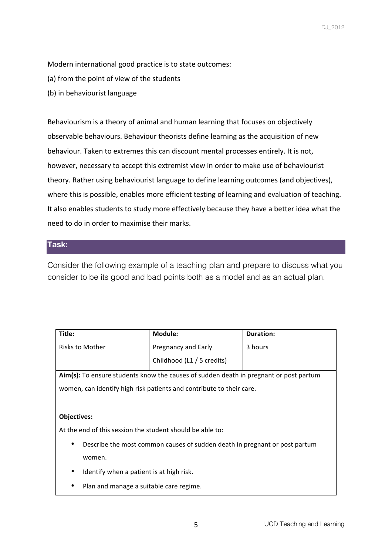Modern international good practice is to state outcomes:

- (a) from the point of view of the students
- (b) in behaviourist language

Behaviourism is a theory of animal and human learning that focuses on objectively observable behaviours. Behaviour theorists define learning as the acquisition of new behaviour. Taken to extremes this can discount mental processes entirely. It is not, however, necessary to accept this extremist view in order to make use of behaviourist theory. Rather using behaviourist language to define learning outcomes (and objectives), where this is possible, enables more efficient testing of learning and evaluation of teaching. It also enables students to study more effectively because they have a better idea what the need to do in order to maximise their marks.

### **Task:**

Consider the following example of a teaching plan and prepare to discuss what you consider to be its good and bad points both as a model and as an actual plan.

| Title:                                                                                | Module:                    | <b>Duration:</b> |  |
|---------------------------------------------------------------------------------------|----------------------------|------------------|--|
| Risks to Mother                                                                       | Pregnancy and Early        | 3 hours          |  |
|                                                                                       | Childhood (L1 / 5 credits) |                  |  |
| Aim(s): To ensure students know the causes of sudden death in pregnant or post partum |                            |                  |  |
| women, can identify high risk patients and contribute to their care.                  |                            |                  |  |
|                                                                                       |                            |                  |  |
|                                                                                       |                            |                  |  |
| <b>Objectives:</b>                                                                    |                            |                  |  |
| At the end of this session the student should be able to:                             |                            |                  |  |
| Describe the most common causes of sudden death in pregnant or post partum            |                            |                  |  |
| women.                                                                                |                            |                  |  |
| Identify when a patient is at high risk.<br>٠                                         |                            |                  |  |
| Plan and manage a suitable care regime.                                               |                            |                  |  |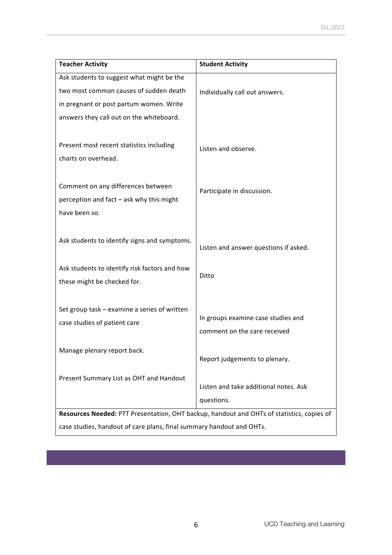| <b>Teacher Activity</b>                                                                                                      | <b>Student Activity</b>                        |  |  |
|------------------------------------------------------------------------------------------------------------------------------|------------------------------------------------|--|--|
| Ask students to suggest what might be the                                                                                    |                                                |  |  |
| two most common causes of sudden death                                                                                       | Individually call out answers.                 |  |  |
| in pregnant or post partum women. Write                                                                                      |                                                |  |  |
| answers they call out on the whiteboard.                                                                                     |                                                |  |  |
| Present most recent statistics including<br>charts on overhead.                                                              | Listen and observe.                            |  |  |
| Comment on any differences between                                                                                           | Participate in discussion.                     |  |  |
| perception and fact - ask why this might                                                                                     |                                                |  |  |
| have been so.                                                                                                                |                                                |  |  |
| Ask students to identify signs and symptoms.<br>Ask students to identify risk factors and how<br>these might be checked for. | Listen and answer questions if asked.<br>Ditto |  |  |
| Set group task - examine a series of written                                                                                 | In groups examine case studies and             |  |  |
| case studies of patient care                                                                                                 | comment on the care received                   |  |  |
| Manage plenary report back.                                                                                                  | Report judgements to plenary.                  |  |  |
| Present Summary List as OHT and Handout                                                                                      | Listen and take additional notes. Ask          |  |  |
|                                                                                                                              | questions.                                     |  |  |
| Resources Needed: PTT Presentation, OHT backup, handout and OHTs of statistics, copies of                                    |                                                |  |  |
| case studies, handout of care plans, final summary handout and OHTs.                                                         |                                                |  |  |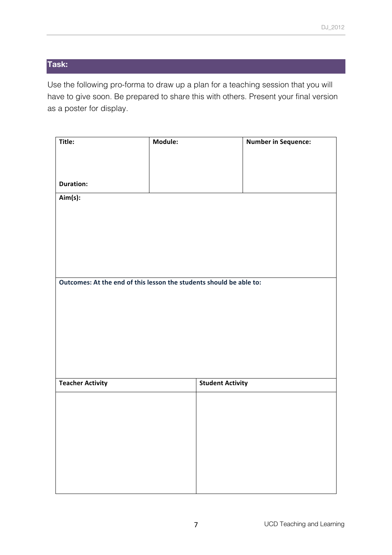### **Task:**

Use the following pro-forma to draw up a plan for a teaching session that you will have to give soon. Be prepared to share this with others. Present your final version as a poster for display.

| Title:                                                              | Module: |                         | <b>Number in Sequence:</b> |
|---------------------------------------------------------------------|---------|-------------------------|----------------------------|
|                                                                     |         |                         |                            |
| <b>Duration:</b>                                                    |         |                         |                            |
| Aim(s):                                                             |         |                         |                            |
|                                                                     |         |                         |                            |
|                                                                     |         |                         |                            |
|                                                                     |         |                         |                            |
|                                                                     |         |                         |                            |
| Outcomes: At the end of this lesson the students should be able to: |         |                         |                            |
|                                                                     |         |                         |                            |
|                                                                     |         |                         |                            |
|                                                                     |         |                         |                            |
|                                                                     |         |                         |                            |
| <b>Teacher Activity</b>                                             |         | <b>Student Activity</b> |                            |
|                                                                     |         |                         |                            |
|                                                                     |         |                         |                            |
|                                                                     |         |                         |                            |
|                                                                     |         |                         |                            |
|                                                                     |         |                         |                            |
|                                                                     |         |                         |                            |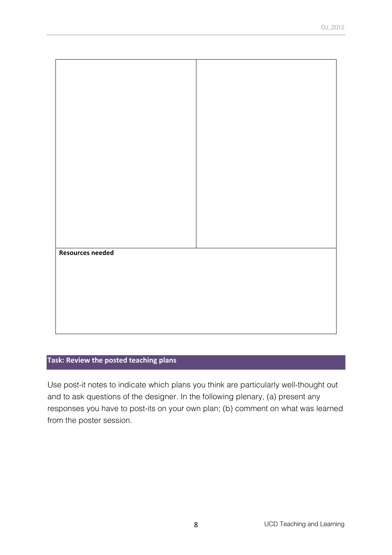| <b>Resources needed</b> |  |  |
|-------------------------|--|--|
|                         |  |  |
|                         |  |  |
|                         |  |  |
|                         |  |  |
|                         |  |  |
|                         |  |  |

### **Task: Review the posted teaching plans**

Use post-it notes to indicate which plans you think are particularly well-thought out and to ask questions of the designer. In the following plenary, (a) present any responses you have to post-its on your own plan; (b) comment on what was learned from the poster session.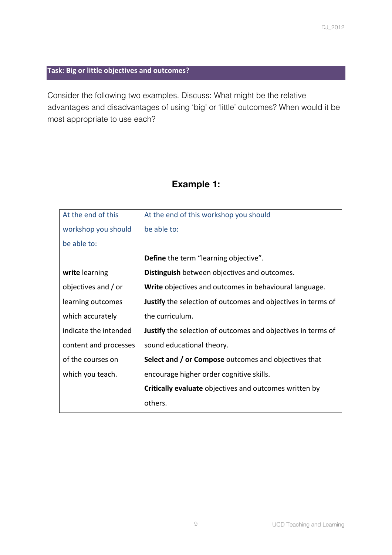### **Task: Big or little objectives and outcomes?**

Consider the following two examples. Discuss: What might be the relative advantages and disadvantages of using 'big' or 'little' outcomes? When would it be most appropriate to use each?

### **Example 1:**

| At the end of this    | At the end of this workshop you should                              |
|-----------------------|---------------------------------------------------------------------|
| workshop you should   | be able to:                                                         |
| be able to:           |                                                                     |
|                       | Define the term "learning objective".                               |
| write learning        | <b>Distinguish</b> between objectives and outcomes.                 |
| objectives and / or   | Write objectives and outcomes in behavioural language.              |
| learning outcomes     | <b>Justify</b> the selection of outcomes and objectives in terms of |
| which accurately      | the curriculum.                                                     |
| indicate the intended | <b>Justify</b> the selection of outcomes and objectives in terms of |
| content and processes | sound educational theory.                                           |
| of the courses on     | <b>Select and / or Compose</b> outcomes and objectives that         |
| which you teach.      | encourage higher order cognitive skills.                            |
|                       | <b>Critically evaluate</b> objectives and outcomes written by       |
|                       | others.                                                             |
|                       |                                                                     |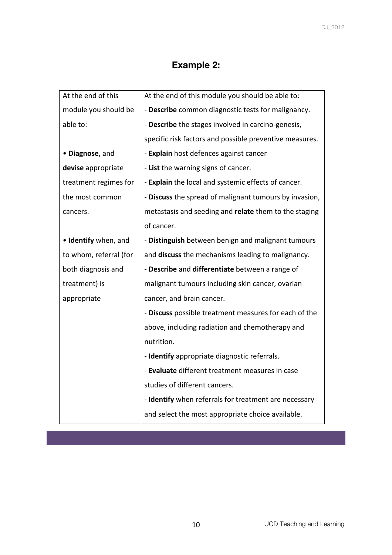### **Example 2:**

| At the end of this     | At the end of this module you should be able to:        |
|------------------------|---------------------------------------------------------|
| module you should be   | - Describe common diagnostic tests for malignancy.      |
| able to:               | - Describe the stages involved in carcino-genesis,      |
|                        | specific risk factors and possible preventive measures. |
| · Diagnose, and        | - Explain host defences against cancer                  |
| devise appropriate     | - List the warning signs of cancer.                     |
| treatment regimes for  | - Explain the local and systemic effects of cancer.     |
| the most common        | - Discuss the spread of malignant tumours by invasion,  |
| cancers.               | metastasis and seeding and relate them to the staging   |
|                        | of cancer.                                              |
| • Identify when, and   | - Distinguish between benign and malignant tumours      |
| to whom, referral (for | and discuss the mechanisms leading to malignancy.       |
| both diagnosis and     | - Describe and differentiate between a range of         |
| treatment) is          | malignant tumours including skin cancer, ovarian        |
| appropriate            | cancer, and brain cancer.                               |
|                        | - Discuss possible treatment measures for each of the   |
|                        | above, including radiation and chemotherapy and         |
|                        | nutrition.                                              |
|                        | - Identify appropriate diagnostic referrals.            |
|                        | - Evaluate different treatment measures in case         |
|                        | studies of different cancers.                           |
|                        | - Identify when referrals for treatment are necessary   |
|                        | and select the most appropriate choice available.       |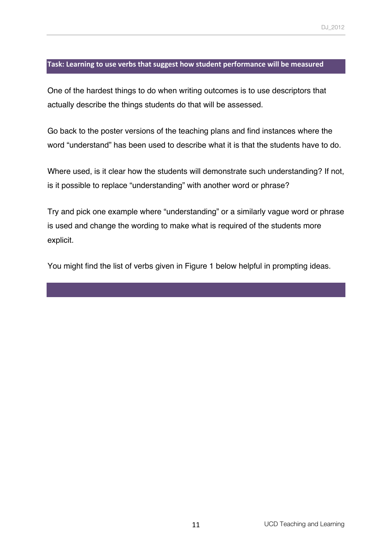#### Task: Learning to use verbs that suggest how student performance will be measured

One of the hardest things to do when writing outcomes is to use descriptors that actually describe the things students do that will be assessed.

Go back to the poster versions of the teaching plans and find instances where the word "understand" has been used to describe what it is that the students have to do.

Where used, is it clear how the students will demonstrate such understanding? If not, is it possible to replace "understanding" with another word or phrase?

Try and pick one example where "understanding" or a similarly vague word or phrase is used and change the wording to make what is required of the students more explicit.

You might find the list of verbs given in Figure 1 below helpful in prompting ideas.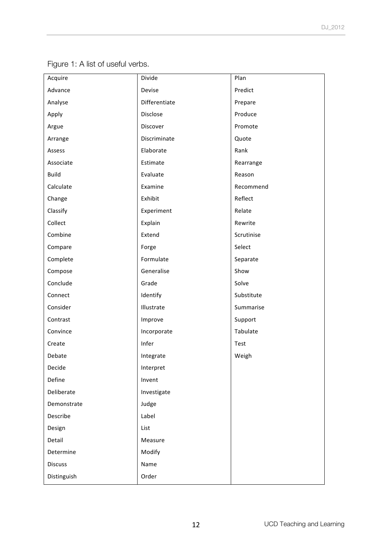| Acquire        | Divide        | Plan       |
|----------------|---------------|------------|
| Advance        | Devise        | Predict    |
| Analyse        | Differentiate | Prepare    |
| Apply          | Disclose      | Produce    |
| Argue          | Discover      | Promote    |
| Arrange        | Discriminate  | Quote      |
| Assess         | Elaborate     | Rank       |
| Associate      | Estimate      | Rearrange  |
| <b>Build</b>   | Evaluate      | Reason     |
| Calculate      | Examine       | Recommend  |
| Change         | Exhibit       | Reflect    |
| Classify       | Experiment    | Relate     |
| Collect        | Explain       | Rewrite    |
| Combine        | Extend        | Scrutinise |
| Compare        | Forge         | Select     |
| Complete       | Formulate     | Separate   |
| Compose        | Generalise    | Show       |
| Conclude       | Grade         | Solve      |
| Connect        | Identify      | Substitute |
| Consider       | Illustrate    | Summarise  |
| Contrast       | Improve       | Support    |
| Convince       | Incorporate   | Tabulate   |
| Create         | Infer         | Test       |
| Debate         | Integrate     | Weigh      |
| Decide         | Interpret     |            |
| Define         | Invent        |            |
| Deliberate     | Investigate   |            |
| Demonstrate    | Judge         |            |
| Describe       | Label         |            |
| Design         | List          |            |
| Detail         | Measure       |            |
| Determine      | Modify        |            |
| <b>Discuss</b> | Name          |            |
| Distinguish    | Order         |            |

Figure 1: A list of useful verbs.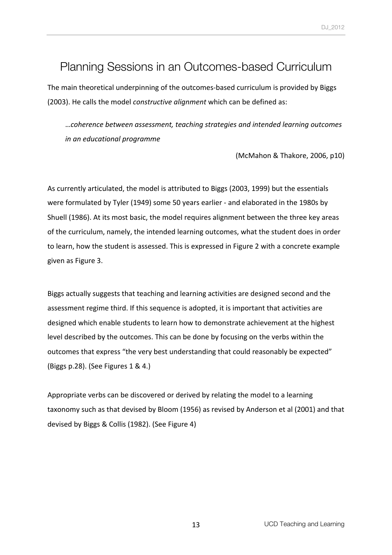## Planning Sessions in an Outcomes-based Curriculum

The main theoretical underpinning of the outcomes-based curriculum is provided by Biggs (2003). He calls the model *constructive alignment* which can be defined as:

…*coherence between assessment, teaching strategies and intended learning outcomes in an educational programme*

(McMahon & Thakore, 2006, p10)

As currently articulated, the model is attributed to Biggs (2003, 1999) but the essentials were formulated by Tyler (1949) some 50 years earlier - and elaborated in the 1980s by Shuell (1986). At its most basic, the model requires alignment between the three key areas of the curriculum, namely, the intended learning outcomes, what the student does in order to learn, how the student is assessed. This is expressed in Figure 2 with a concrete example given as Figure 3.

Biggs actually suggests that teaching and learning activities are designed second and the assessment regime third. If this sequence is adopted, it is important that activities are designed which enable students to learn how to demonstrate achievement at the highest level described by the outcomes. This can be done by focusing on the verbs within the outcomes that express "the very best understanding that could reasonably be expected" (Biggs p.28). (See Figures  $1 \& 4$ .)

Appropriate verbs can be discovered or derived by relating the model to a learning taxonomy such as that devised by Bloom (1956) as revised by Anderson et al (2001) and that devised by Biggs & Collis (1982). (See Figure 4)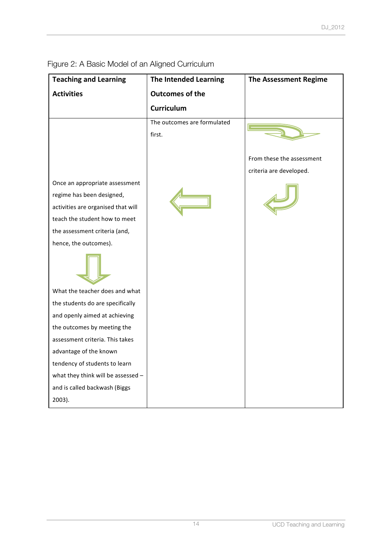| <b>Teaching and Learning</b>                                                                                                                                                                                                   | The Intended Learning                 | <b>The Assessment Regime</b> |
|--------------------------------------------------------------------------------------------------------------------------------------------------------------------------------------------------------------------------------|---------------------------------------|------------------------------|
| <b>Activities</b>                                                                                                                                                                                                              | <b>Outcomes of the</b>                |                              |
|                                                                                                                                                                                                                                | <b>Curriculum</b>                     |                              |
|                                                                                                                                                                                                                                | The outcomes are formulated<br>first. |                              |
|                                                                                                                                                                                                                                |                                       | From these the assessment    |
| Once an appropriate assessment<br>regime has been designed,<br>activities are organised that will<br>teach the student how to meet<br>the assessment criteria (and,<br>hence, the outcomes).<br>What the teacher does and what |                                       | criteria are developed.      |
| the students do are specifically                                                                                                                                                                                               |                                       |                              |
| and openly aimed at achieving                                                                                                                                                                                                  |                                       |                              |
| the outcomes by meeting the<br>assessment criteria. This takes                                                                                                                                                                 |                                       |                              |
| advantage of the known                                                                                                                                                                                                         |                                       |                              |
| tendency of students to learn                                                                                                                                                                                                  |                                       |                              |
| what they think will be assessed $-$                                                                                                                                                                                           |                                       |                              |
| and is called backwash (Biggs                                                                                                                                                                                                  |                                       |                              |
| 2003).                                                                                                                                                                                                                         |                                       |                              |

Figure 2: A Basic Model of an Aligned Curriculum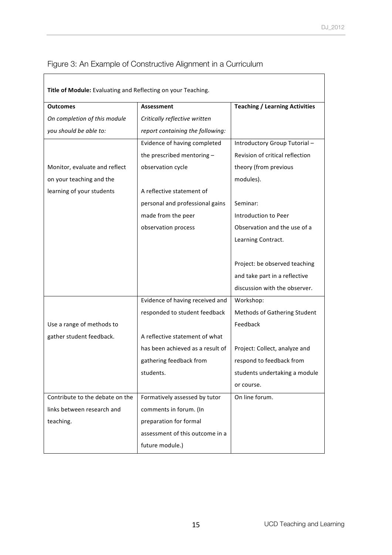### Figure 3: An Example of Constructive Alignment in a Curriculum

| Title of Module: Evaluating and Reflecting on your Teaching. |                                  |                                       |
|--------------------------------------------------------------|----------------------------------|---------------------------------------|
| <b>Outcomes</b>                                              | <b>Assessment</b>                | <b>Teaching / Learning Activities</b> |
| On completion of this module                                 | Critically reflective written    |                                       |
| you should be able to:                                       | report containing the following: |                                       |
|                                                              | Evidence of having completed     | Introductory Group Tutorial-          |
|                                                              | the prescribed mentoring -       | Revision of critical reflection       |
| Monitor, evaluate and reflect                                | observation cycle                | theory (from previous                 |
| on your teaching and the                                     |                                  | modules).                             |
| learning of your students                                    | A reflective statement of        |                                       |
|                                                              | personal and professional gains  | Seminar:                              |
|                                                              | made from the peer               | Introduction to Peer                  |
|                                                              | observation process              | Observation and the use of a          |
|                                                              |                                  | Learning Contract.                    |
|                                                              |                                  |                                       |
|                                                              |                                  | Project: be observed teaching         |
|                                                              |                                  | and take part in a reflective         |
|                                                              |                                  | discussion with the observer.         |
|                                                              | Evidence of having received and  | Workshop:                             |
|                                                              | responded to student feedback    | Methods of Gathering Student          |
| Use a range of methods to                                    |                                  | Feedback                              |
| gather student feedback.                                     | A reflective statement of what   |                                       |
|                                                              | has been achieved as a result of | Project: Collect, analyze and         |
|                                                              | gathering feedback from          | respond to feedback from              |
|                                                              | students.                        | students undertaking a module         |
|                                                              |                                  | or course.                            |
| Contribute to the debate on the                              | Formatively assessed by tutor    | On line forum.                        |
| links between research and                                   | comments in forum. (In           |                                       |
| teaching.                                                    | preparation for formal           |                                       |
|                                                              | assessment of this outcome in a  |                                       |
|                                                              | future module.)                  |                                       |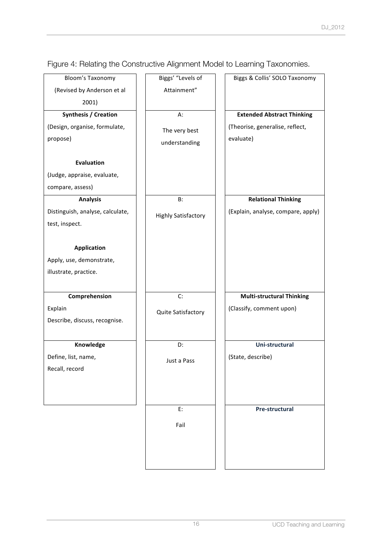| <b>Bloom's Taxonomy</b>          | Biggs' "Levels of          | Biggs & Collis' SOLO Taxonomy      |
|----------------------------------|----------------------------|------------------------------------|
| (Revised by Anderson et al       | Attainment"                |                                    |
| 2001)                            |                            |                                    |
| <b>Synthesis / Creation</b>      | A:                         | <b>Extended Abstract Thinking</b>  |
| (Design, organise, formulate,    | The very best              | (Theorise, generalise, reflect,    |
| propose)                         | understanding              | evaluate)                          |
|                                  |                            |                                    |
| <b>Evaluation</b>                |                            |                                    |
| (Judge, appraise, evaluate,      |                            |                                    |
| compare, assess)                 |                            |                                    |
| <b>Analysis</b>                  | <b>B:</b>                  | <b>Relational Thinking</b>         |
| Distinguish, analyse, calculate, | <b>Highly Satisfactory</b> | (Explain, analyse, compare, apply) |
| test, inspect.                   |                            |                                    |
|                                  |                            |                                    |
| <b>Application</b>               |                            |                                    |
| Apply, use, demonstrate,         |                            |                                    |
| illustrate, practice.            |                            |                                    |
|                                  |                            |                                    |
| Comprehension                    | C:                         | <b>Multi-structural Thinking</b>   |
| Explain                          | Quite Satisfactory         | (Classify, comment upon)           |
| Describe, discuss, recognise.    |                            |                                    |
|                                  |                            |                                    |
| Knowledge                        | D:                         | Uni-structural                     |
| Define, list, name,              | Just a Pass                | (State, describe)                  |
| Recall, record                   |                            |                                    |
|                                  |                            |                                    |
|                                  |                            |                                    |
|                                  | E:                         | Pre-structural                     |
|                                  |                            |                                    |
|                                  | Fail                       |                                    |
|                                  |                            |                                    |
|                                  |                            |                                    |
|                                  |                            |                                    |

Figure 4: Relating the Constructive Alignment Model to Learning Taxonomies.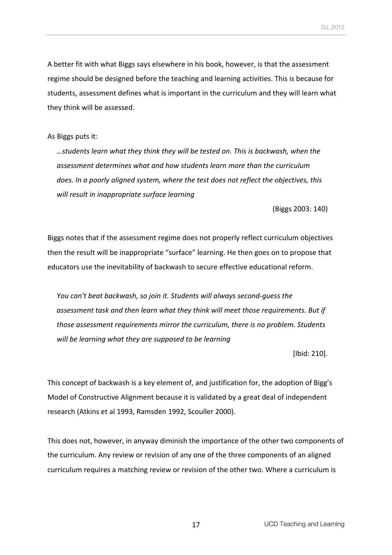A better fit with what Biggs says elsewhere in his book, however, is that the assessment regime should be designed before the teaching and learning activities. This is because for students, assessment defines what is important in the curriculum and they will learn what they think will be assessed.

As Biggs puts it:

…students learn what they think they will be tested on. This is backwash, when the assessment determines what and how students learn more than the curriculum does. In a poorly aligned system, where the test does not reflect the objectives, this *will result in inappropriate surface learning* 

(Biggs 2003: 140)

Biggs notes that if the assessment regime does not properly reflect curriculum objectives then the result will be inappropriate "surface" learning. He then goes on to propose that educators use the inevitability of backwash to secure effective educational reform.

*You can't beat backwash, so join it. Students will always second-guess the* assessment task and then learn what they think will meet those requirements. But if *those assessment requirements mirror the curriculum, there is no problem. Students will be learning what they are supposed to be learning* 

[Ibid: 210].

This concept of backwash is a key element of, and justification for, the adoption of Bigg's Model of Constructive Alignment because it is validated by a great deal of independent research (Atkins et al 1993, Ramsden 1992, Scouller 2000).

This does not, however, in anyway diminish the importance of the other two components of the curriculum. Any review or revision of any one of the three components of an aligned curriculum requires a matching review or revision of the other two. Where a curriculum is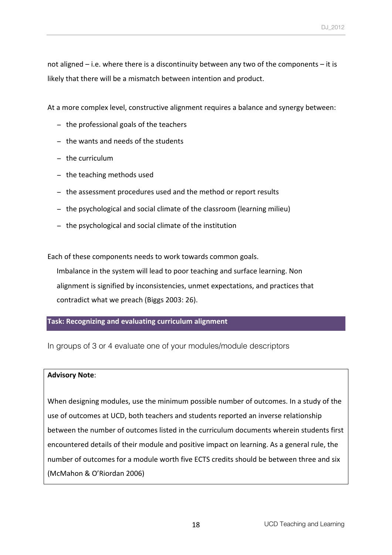not aligned  $-$  i.e. where there is a discontinuity between any two of the components  $-$  it is likely that there will be a mismatch between intention and product.

At a more complex level, constructive alignment requires a balance and synergy between:

- − the professional goals of the teachers
- − the wants and needs of the students
- − the curriculum
- − the teaching methods used
- − the assessment procedures used and the method or report results
- − the psychological and social climate of the classroom (learning milieu)
- − the psychological and social climate of the institution

Each of these components needs to work towards common goals. Imbalance in the system will lead to poor teaching and surface learning. Non alignment is signified by inconsistencies, unmet expectations, and practices that contradict what we preach (Biggs 2003: 26).

### **Task: Recognizing and evaluating curriculum alignment**

In groups of 3 or 4 evaluate one of your modules/module descriptors

#### **Advisory Note**:

When designing modules, use the minimum possible number of outcomes. In a study of the use of outcomes at UCD, both teachers and students reported an inverse relationship between the number of outcomes listed in the curriculum documents wherein students first encountered details of their module and positive impact on learning. As a general rule, the number of outcomes for a module worth five FCTS credits should be between three and six (McMahon & O'Riordan 2006)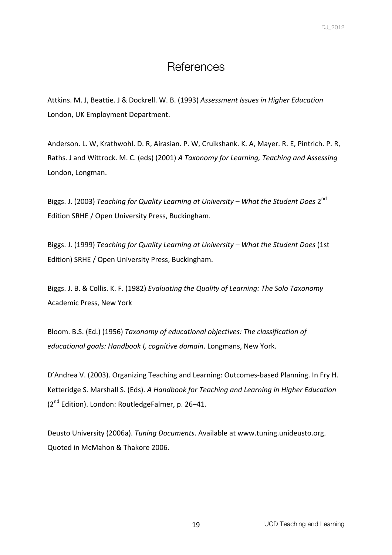### **References**

Attkins. M. J, Beattie. J & Dockrell. W. B. (1993) Assessment Issues in Higher Education London, UK Employment Department.

Anderson. L. W, Krathwohl. D. R, Airasian. P. W, Cruikshank. K. A, Mayer. R. E, Pintrich. P. R, Raths. J and Wittrock. M. C. (eds) (2001) *A Taxonomy for Learning, Teaching and Assessing* London, Longman.

Biggs. J. (2003) *Teaching for Quality Learning at University* – What the Student Does 2<sup>nd</sup> Edition SRHE / Open University Press, Buckingham.

Biggs. J. (1999) Teaching for Quality Learning at University – What the Student Does (1st Edition) SRHE / Open University Press, Buckingham.

Biggs. J. B. & Collis. K. F. (1982) *Evaluating the Quality of Learning: The Solo Taxonomy* Academic Press, New York

Bloom. B.S. (Ed.) (1956) Taxonomy of educational objectives: The classification of *educational qoals: Handbook I, cognitive domain. Longmans, New York.* 

D'Andrea V. (2003). Organizing Teaching and Learning: Outcomes-based Planning. In Fry H. Ketteridge S. Marshall S. (Eds). A *Handbook for Teaching and Learning in Higher Education* (2<sup>nd</sup> Edition). London: RoutledgeFalmer, p. 26–41.

Deusto University (2006a). *Tuning Documents*. Available at www.tuning.unideusto.org. Quoted in McMahon & Thakore 2006.